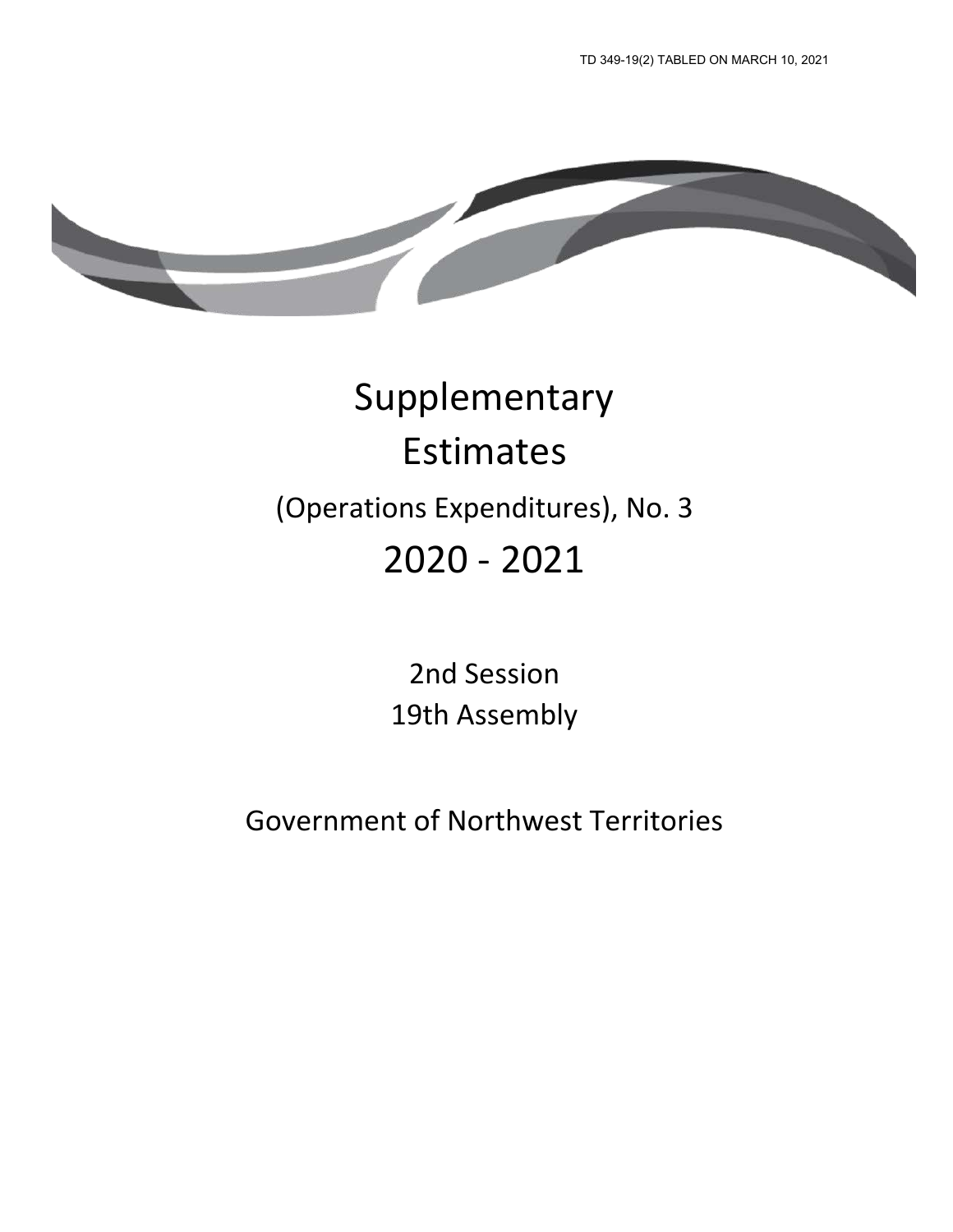

# Supplementary Estimates (Operations Expenditures), No. 3 2020 - 2021

2nd Session 19th Assembly

Government of Northwest Territories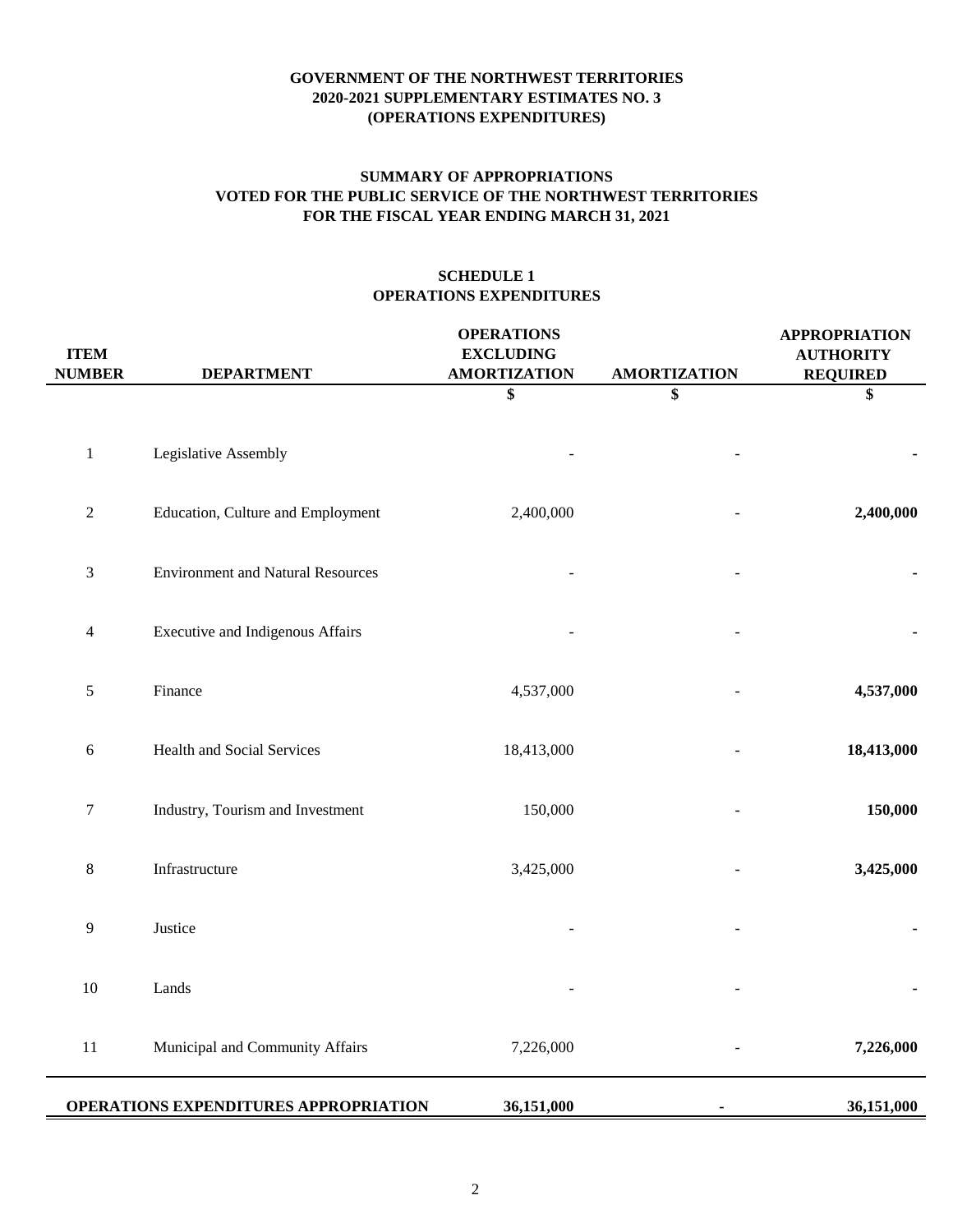# **FOR THE FISCAL YEAR ENDING MARCH 31, 2021 SUMMARY OF APPROPRIATIONS VOTED FOR THE PUBLIC SERVICE OF THE NORTHWEST TERRITORIES**

# **SCHEDULE 1 OPERATIONS EXPENDITURES**

| <b>ITEM</b><br><b>NUMBER</b> | <b>DEPARTMENT</b>                        | <b>OPERATIONS</b><br><b>EXCLUDING</b><br><b>AMORTIZATION</b> | <b>AMORTIZATION</b> | <b>APPROPRIATION</b><br><b>AUTHORITY</b><br><b>REQUIRED</b> |
|------------------------------|------------------------------------------|--------------------------------------------------------------|---------------------|-------------------------------------------------------------|
|                              |                                          | \$                                                           | \$                  | \$                                                          |
| $\mathbf{1}$                 | Legislative Assembly                     |                                                              |                     |                                                             |
| $\mathbf{2}$                 | Education, Culture and Employment        | 2,400,000                                                    |                     | 2,400,000                                                   |
| $\mathfrak{Z}$               | <b>Environment and Natural Resources</b> |                                                              |                     |                                                             |
| 4                            | <b>Executive and Indigenous Affairs</b>  |                                                              |                     |                                                             |
| $\mathfrak s$                | Finance                                  | 4,537,000                                                    |                     | 4,537,000                                                   |
| $\sqrt{6}$                   | Health and Social Services               | 18,413,000                                                   |                     | 18,413,000                                                  |
| $\boldsymbol{7}$             | Industry, Tourism and Investment         | 150,000                                                      |                     | 150,000                                                     |
| $8\,$                        | Infrastructure                           | 3,425,000                                                    |                     | 3,425,000                                                   |
| 9                            | Justice                                  |                                                              |                     |                                                             |
| 10                           | Lands                                    |                                                              |                     |                                                             |
| $11\,$                       | Municipal and Community Affairs          | 7,226,000                                                    |                     | 7,226,000                                                   |
|                              | OPERATIONS EXPENDITURES APPROPRIATION    | 36,151,000                                                   |                     | 36,151,000                                                  |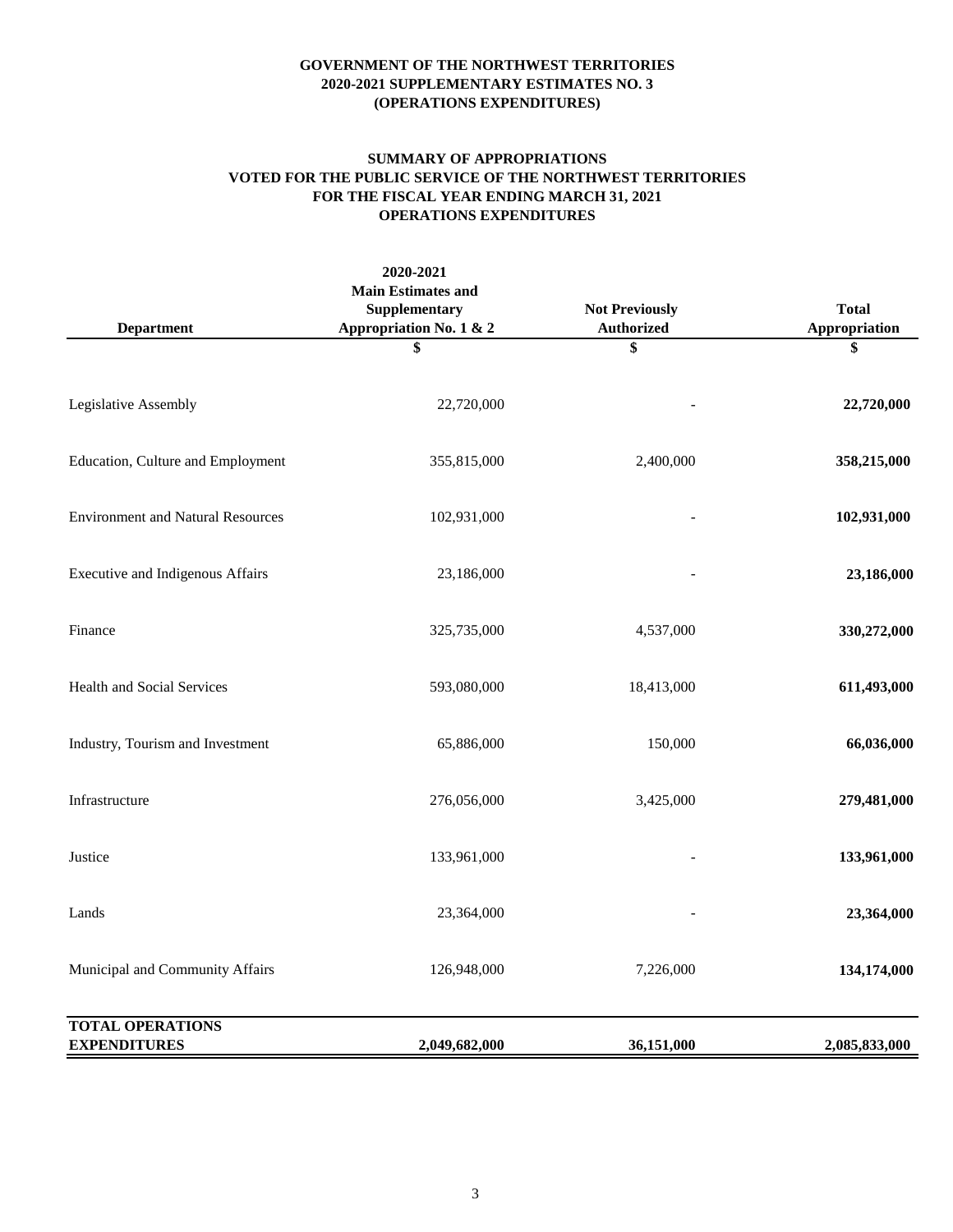#### **SUMMARY OF APPROPRIATIONS VOTED FOR THE PUBLIC SERVICE OF THE NORTHWEST TERRITORIES FOR THE FISCAL YEAR ENDING MARCH 31, 2021 OPERATIONS EXPENDITURES**

| <b>Department</b>                              | 2020-2021<br><b>Main Estimates and</b><br>Supplementary<br>Appropriation No. 1 & 2 | <b>Not Previously</b><br><b>Authorized</b> | <b>Total</b><br>Appropriation |
|------------------------------------------------|------------------------------------------------------------------------------------|--------------------------------------------|-------------------------------|
|                                                | \$                                                                                 | \$                                         | \$                            |
| Legislative Assembly                           | 22,720,000                                                                         |                                            | 22,720,000                    |
| Education, Culture and Employment              | 355,815,000                                                                        | 2,400,000                                  | 358,215,000                   |
| <b>Environment and Natural Resources</b>       | 102,931,000                                                                        |                                            | 102,931,000                   |
| <b>Executive and Indigenous Affairs</b>        | 23,186,000                                                                         |                                            | 23,186,000                    |
| Finance                                        | 325,735,000                                                                        | 4,537,000                                  | 330,272,000                   |
| <b>Health and Social Services</b>              | 593,080,000                                                                        | 18,413,000                                 | 611,493,000                   |
| Industry, Tourism and Investment               | 65,886,000                                                                         | 150,000                                    | 66,036,000                    |
| Infrastructure                                 | 276,056,000                                                                        | 3,425,000                                  | 279,481,000                   |
| Justice                                        | 133,961,000                                                                        |                                            | 133,961,000                   |
| Lands                                          | 23,364,000                                                                         |                                            | 23,364,000                    |
| Municipal and Community Affairs                | 126,948,000                                                                        | 7,226,000                                  | 134,174,000                   |
| <b>TOTAL OPERATIONS</b><br><b>EXPENDITURES</b> | 2,049,682,000                                                                      | 36,151,000                                 | 2,085,833,000                 |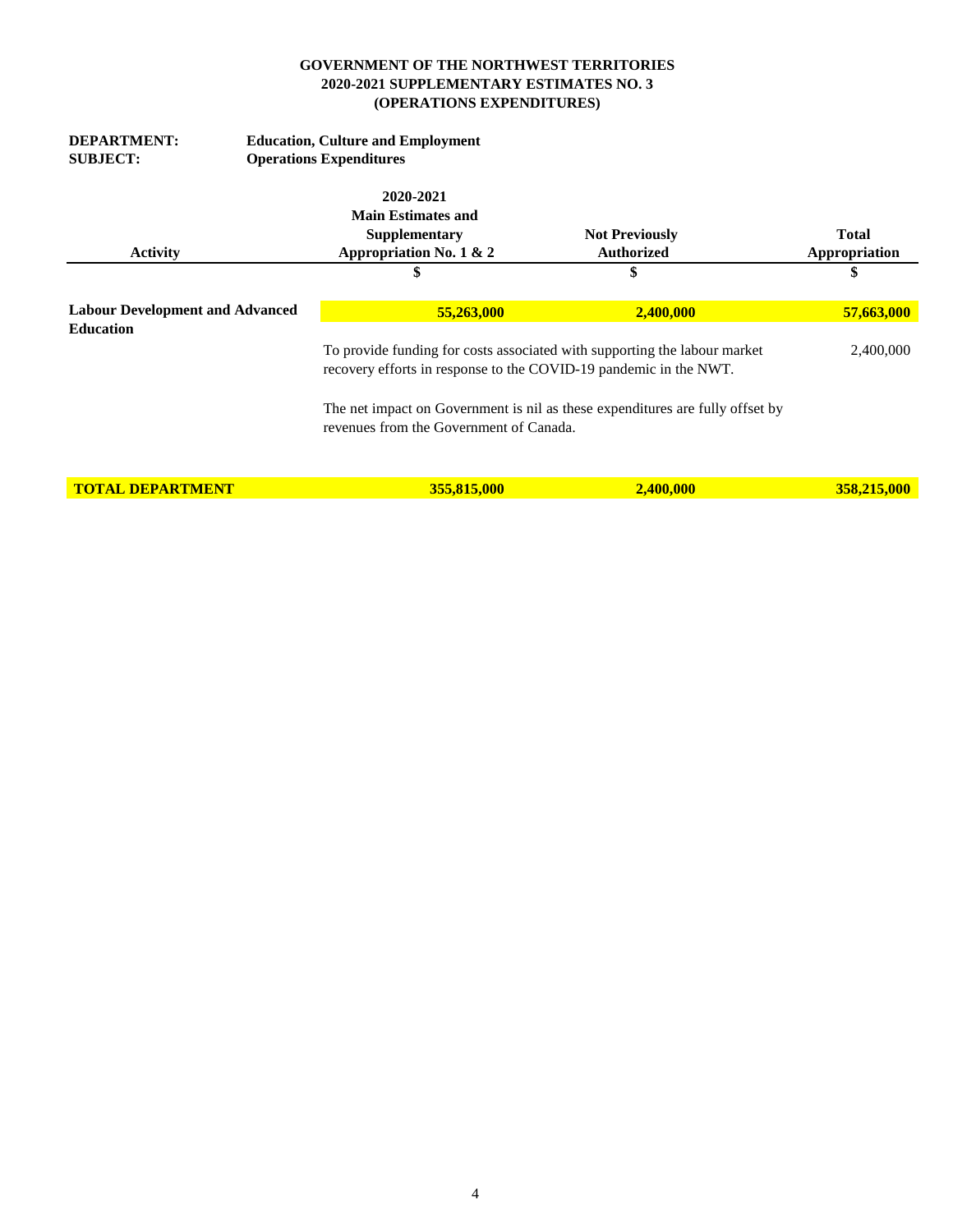| <b>DEPARTMENT:</b><br><b>SUBJECT:</b>                      |  | <b>Education, Culture and Employment</b><br><b>Operations Expenditures</b> |                                                                               |                     |  |  |
|------------------------------------------------------------|--|----------------------------------------------------------------------------|-------------------------------------------------------------------------------|---------------------|--|--|
|                                                            |  | 2020-2021<br><b>Main Estimates and</b><br>Supplementary                    | <b>Not Previously</b><br><b>Authorized</b>                                    | <b>Total</b>        |  |  |
| <b>Activity</b>                                            |  | Appropriation No. 1 & 2<br>\$                                              | \$                                                                            | Appropriation<br>\$ |  |  |
| <b>Labour Development and Advanced</b><br><b>Education</b> |  | 55,263,000<br>2,400,000                                                    |                                                                               | 57,663,000          |  |  |
|                                                            |  | recovery efforts in response to the COVID-19 pandemic in the NWT.          | To provide funding for costs associated with supporting the labour market     | 2,400,000           |  |  |
|                                                            |  | revenues from the Government of Canada.                                    | The net impact on Government is nil as these expenditures are fully offset by |                     |  |  |
| <b>TOTAL DEPARTMENT</b>                                    |  | 355,815,000                                                                | 2,400,000                                                                     | 358,215,000         |  |  |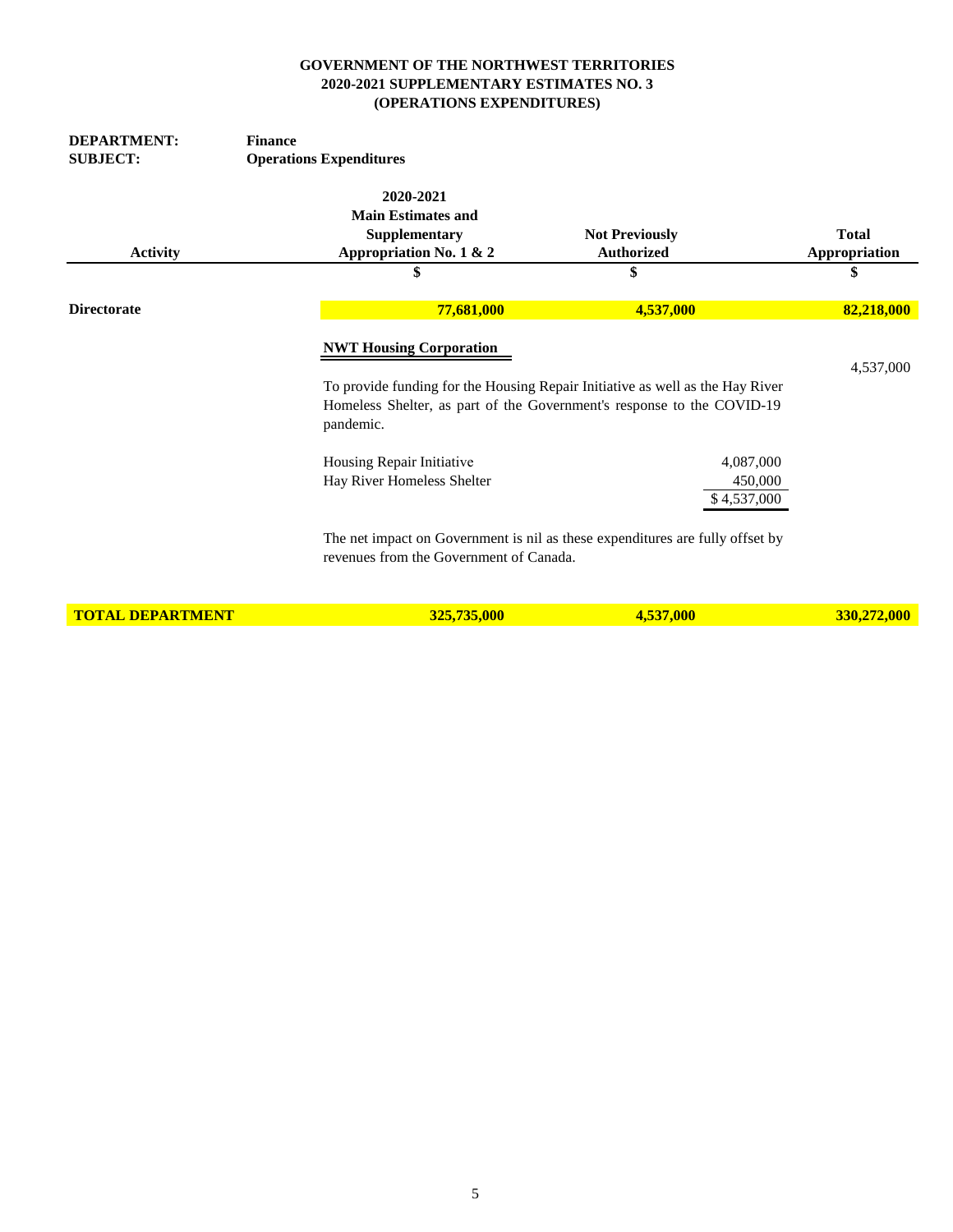| <b>DEPARTMENT:</b>      | <b>Finance</b>                                          |                                                                                                                                                         |               |
|-------------------------|---------------------------------------------------------|---------------------------------------------------------------------------------------------------------------------------------------------------------|---------------|
| <b>SUBJECT:</b>         | <b>Operations Expenditures</b>                          |                                                                                                                                                         |               |
|                         | 2020-2021                                               |                                                                                                                                                         |               |
|                         | <b>Main Estimates and</b>                               |                                                                                                                                                         |               |
|                         | Supplementary                                           | <b>Not Previously</b>                                                                                                                                   | <b>Total</b>  |
| <b>Activity</b>         | Appropriation No. 1 & 2                                 | <b>Authorized</b>                                                                                                                                       | Appropriation |
|                         | \$                                                      | \$                                                                                                                                                      |               |
| <b>Directorate</b>      | 77,681,000                                              | 4,537,000                                                                                                                                               | 82,218,000    |
|                         | <b>NWT Housing Corporation</b><br>pandemic.             | To provide funding for the Housing Repair Initiative as well as the Hay River<br>Homeless Shelter, as part of the Government's response to the COVID-19 | 4,537,000     |
|                         | Housing Repair Initiative<br>Hay River Homeless Shelter | 4,087,000<br>450,000<br>\$4,537,000                                                                                                                     |               |
|                         | revenues from the Government of Canada.                 | The net impact on Government is nil as these expenditures are fully offset by                                                                           |               |
| <b>TOTAL DEPARTMENT</b> | 325,735,000                                             | 4,537,000                                                                                                                                               | 330,272,000   |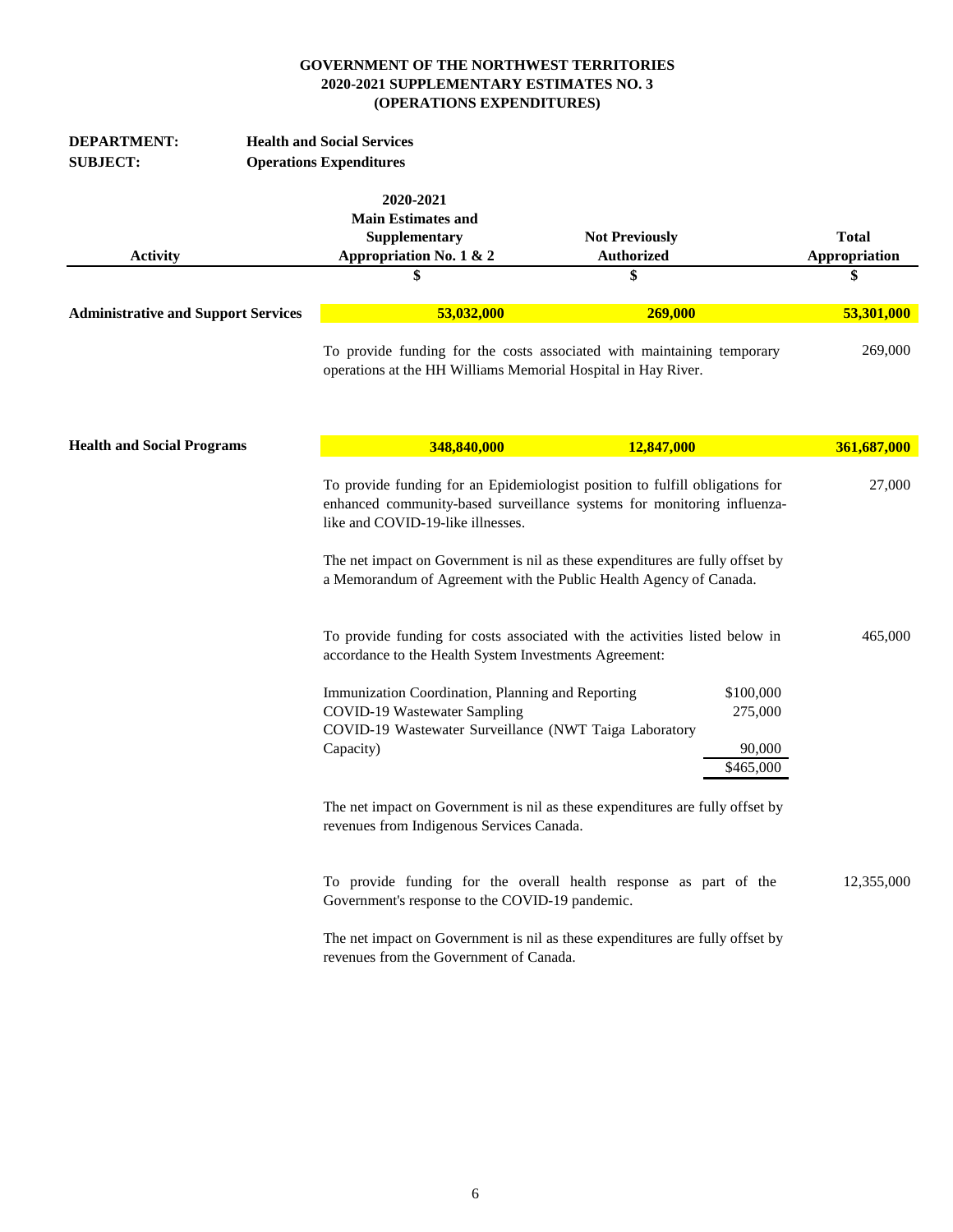| <b>DEPARTMENT:</b>                         | <b>Health and Social Services</b>                                                                                                                        |                                                                                                                                                                                                                                                                                                                |                                     |
|--------------------------------------------|----------------------------------------------------------------------------------------------------------------------------------------------------------|----------------------------------------------------------------------------------------------------------------------------------------------------------------------------------------------------------------------------------------------------------------------------------------------------------------|-------------------------------------|
| <b>SUBJECT:</b>                            | <b>Operations Expenditures</b>                                                                                                                           |                                                                                                                                                                                                                                                                                                                |                                     |
| <b>Activity</b>                            | 2020-2021<br><b>Main Estimates and</b><br>Supplementary<br>Appropriation No. 1 & 2<br>S                                                                  | <b>Not Previously</b><br><b>Authorized</b><br>S                                                                                                                                                                                                                                                                | <b>Total</b><br>Appropriation<br>\$ |
|                                            |                                                                                                                                                          |                                                                                                                                                                                                                                                                                                                |                                     |
| <b>Administrative and Support Services</b> | 53,032,000                                                                                                                                               | 269,000                                                                                                                                                                                                                                                                                                        | 53,301,000                          |
|                                            | operations at the HH Williams Memorial Hospital in Hay River.                                                                                            | To provide funding for the costs associated with maintaining temporary                                                                                                                                                                                                                                         | 269,000                             |
| <b>Health and Social Programs</b>          | 348,840,000                                                                                                                                              | 12,847,000                                                                                                                                                                                                                                                                                                     | 361,687,000                         |
|                                            | like and COVID-19-like illnesses.                                                                                                                        | To provide funding for an Epidemiologist position to fulfill obligations for<br>enhanced community-based surveillance systems for monitoring influenza-<br>The net impact on Government is nil as these expenditures are fully offset by<br>a Memorandum of Agreement with the Public Health Agency of Canada. | 27,000                              |
|                                            | accordance to the Health System Investments Agreement:                                                                                                   | To provide funding for costs associated with the activities listed below in                                                                                                                                                                                                                                    | 465,000                             |
|                                            | Immunization Coordination, Planning and Reporting<br>COVID-19 Wastewater Sampling<br>COVID-19 Wastewater Surveillance (NWT Taiga Laboratory<br>Capacity) | \$100,000<br>275,000<br>90,000<br>\$465,000                                                                                                                                                                                                                                                                    |                                     |
|                                            | revenues from Indigenous Services Canada.                                                                                                                | The net impact on Government is nil as these expenditures are fully offset by                                                                                                                                                                                                                                  |                                     |
|                                            | Government's response to the COVID-19 pandemic.                                                                                                          | To provide funding for the overall health response as part of the                                                                                                                                                                                                                                              | 12,355,000                          |
|                                            | revenues from the Government of Canada.                                                                                                                  | The net impact on Government is nil as these expenditures are fully offset by                                                                                                                                                                                                                                  |                                     |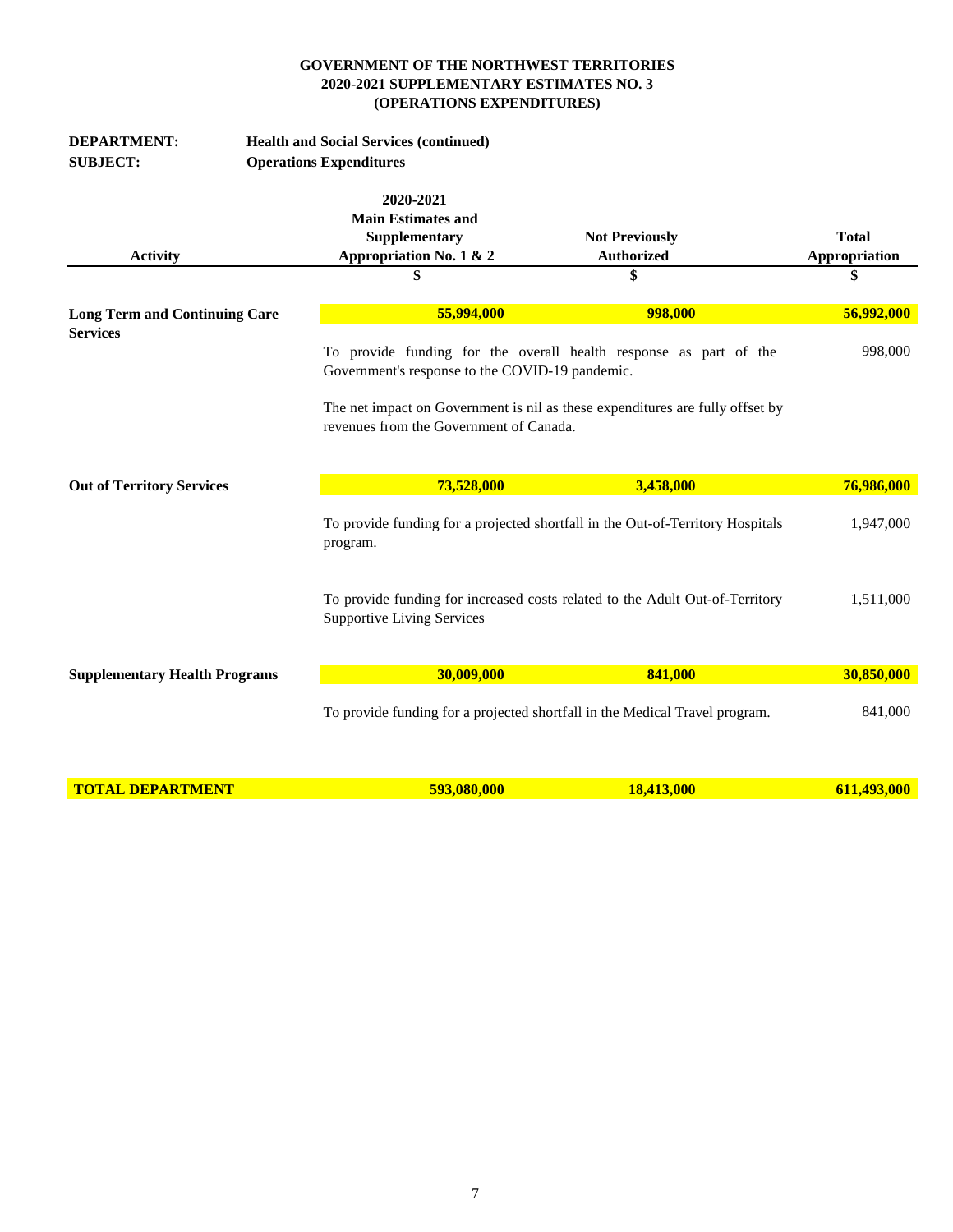| <b>DEPARTMENT:</b>                   |                                | <b>Health and Social Services (continued)</b>   |                                                                                |               |
|--------------------------------------|--------------------------------|-------------------------------------------------|--------------------------------------------------------------------------------|---------------|
| <b>SUBJECT:</b>                      | <b>Operations Expenditures</b> |                                                 |                                                                                |               |
|                                      |                                |                                                 |                                                                                |               |
|                                      |                                | 2020-2021<br><b>Main Estimates and</b>          |                                                                                |               |
|                                      |                                | Supplementary                                   | <b>Not Previously</b>                                                          | <b>Total</b>  |
| <b>Activity</b>                      |                                | Appropriation No. 1 & 2                         | <b>Authorized</b>                                                              | Appropriation |
|                                      |                                | \$                                              | \$                                                                             | \$            |
|                                      |                                |                                                 |                                                                                |               |
| <b>Long Term and Continuing Care</b> |                                | 55,994,000                                      | 998,000                                                                        | 56,992,000    |
| <b>Services</b>                      |                                |                                                 |                                                                                |               |
|                                      |                                |                                                 | To provide funding for the overall health response as part of the              | 998,000       |
|                                      |                                | Government's response to the COVID-19 pandemic. |                                                                                |               |
|                                      |                                |                                                 | The net impact on Government is nil as these expenditures are fully offset by  |               |
|                                      |                                | revenues from the Government of Canada.         |                                                                                |               |
|                                      |                                |                                                 |                                                                                |               |
|                                      |                                |                                                 |                                                                                |               |
| <b>Out of Territory Services</b>     |                                | 73,528,000                                      | 3,458,000                                                                      | 76,986,000    |
|                                      |                                |                                                 |                                                                                |               |
|                                      |                                |                                                 | To provide funding for a projected shortfall in the Out-of-Territory Hospitals | 1,947,000     |
|                                      |                                | program.                                        |                                                                                |               |
|                                      |                                |                                                 |                                                                                |               |
|                                      |                                |                                                 | To provide funding for increased costs related to the Adult Out-of-Territory   | 1,511,000     |
|                                      |                                | <b>Supportive Living Services</b>               |                                                                                |               |
|                                      |                                |                                                 |                                                                                |               |
|                                      |                                |                                                 |                                                                                |               |
| <b>Supplementary Health Programs</b> |                                | 30,009,000                                      | 841,000                                                                        | 30,850,000    |
|                                      |                                |                                                 | To provide funding for a projected shortfall in the Medical Travel program.    | 841,000       |
|                                      |                                |                                                 |                                                                                |               |
|                                      |                                |                                                 |                                                                                |               |
|                                      |                                |                                                 |                                                                                |               |
| <b>TOTAL DEPARTMENT</b>              |                                | 593,080,000                                     | 18,413,000                                                                     | 611,493,000   |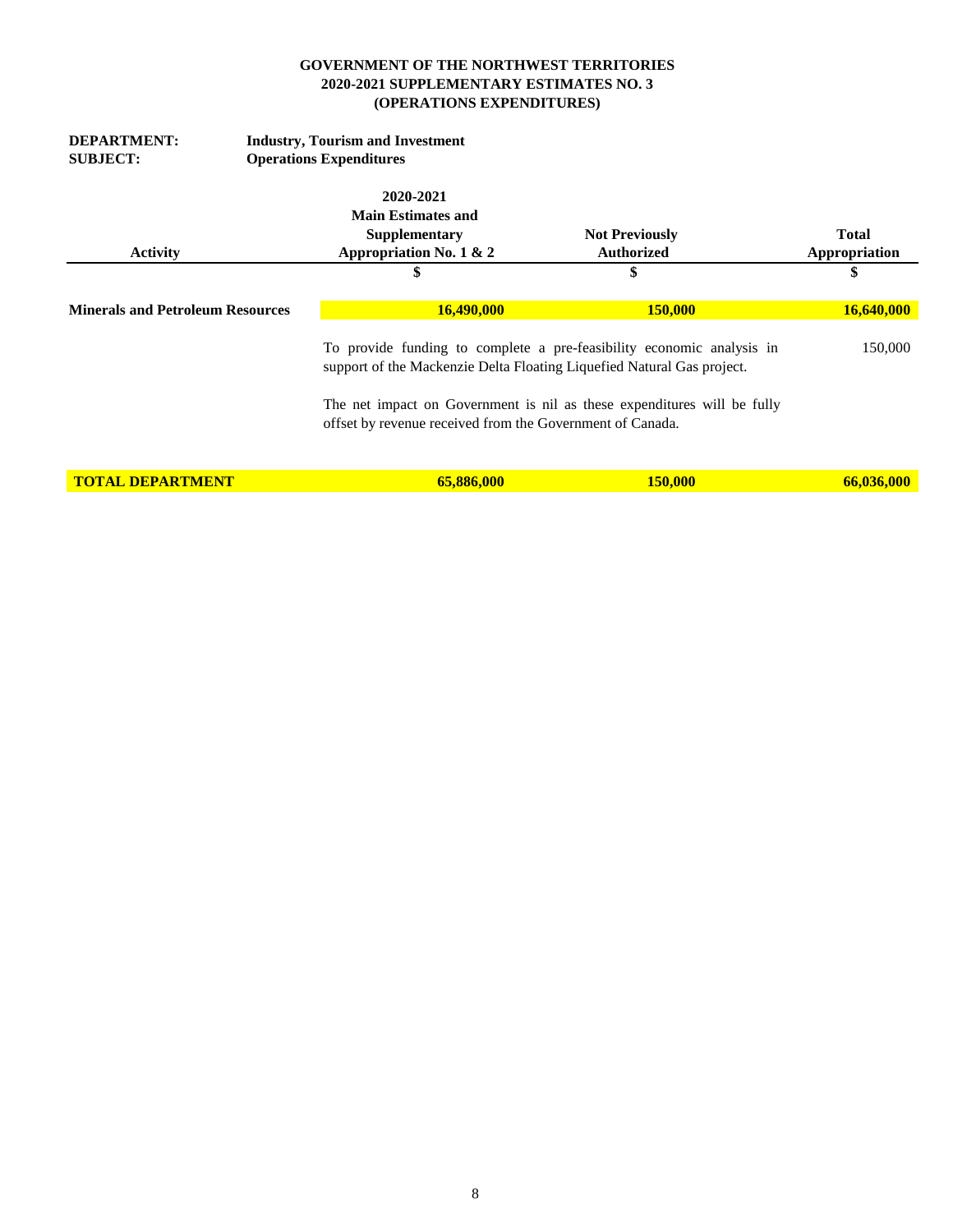| <b>DEPARTMENT:</b>                      |                                | <b>Industry, Tourism and Investment</b>                                |                                                                         |               |  |  |
|-----------------------------------------|--------------------------------|------------------------------------------------------------------------|-------------------------------------------------------------------------|---------------|--|--|
| <b>SUBJECT:</b>                         | <b>Operations Expenditures</b> |                                                                        |                                                                         |               |  |  |
|                                         |                                | 2020-2021                                                              |                                                                         |               |  |  |
|                                         |                                | <b>Main Estimates and</b>                                              |                                                                         |               |  |  |
|                                         |                                | <b>Supplementary</b>                                                   | <b>Not Previously</b>                                                   | <b>Total</b>  |  |  |
| <b>Activity</b>                         |                                | Appropriation No. 1 & 2                                                | <b>Authorized</b>                                                       | Appropriation |  |  |
|                                         |                                | \$                                                                     | \$                                                                      | \$            |  |  |
| <b>Minerals and Petroleum Resources</b> |                                | <b>16,490,000</b>                                                      | <b>150,000</b>                                                          | 16,640,000    |  |  |
|                                         |                                | support of the Mackenzie Delta Floating Liquefied Natural Gas project. | To provide funding to complete a pre-feasibility economic analysis in   | 150,000       |  |  |
|                                         |                                | offset by revenue received from the Government of Canada.              | The net impact on Government is nil as these expenditures will be fully |               |  |  |
| <b>TOTAL DEPARTMENT</b>                 |                                | 65,886,000                                                             | 150.000                                                                 | 66,036,000    |  |  |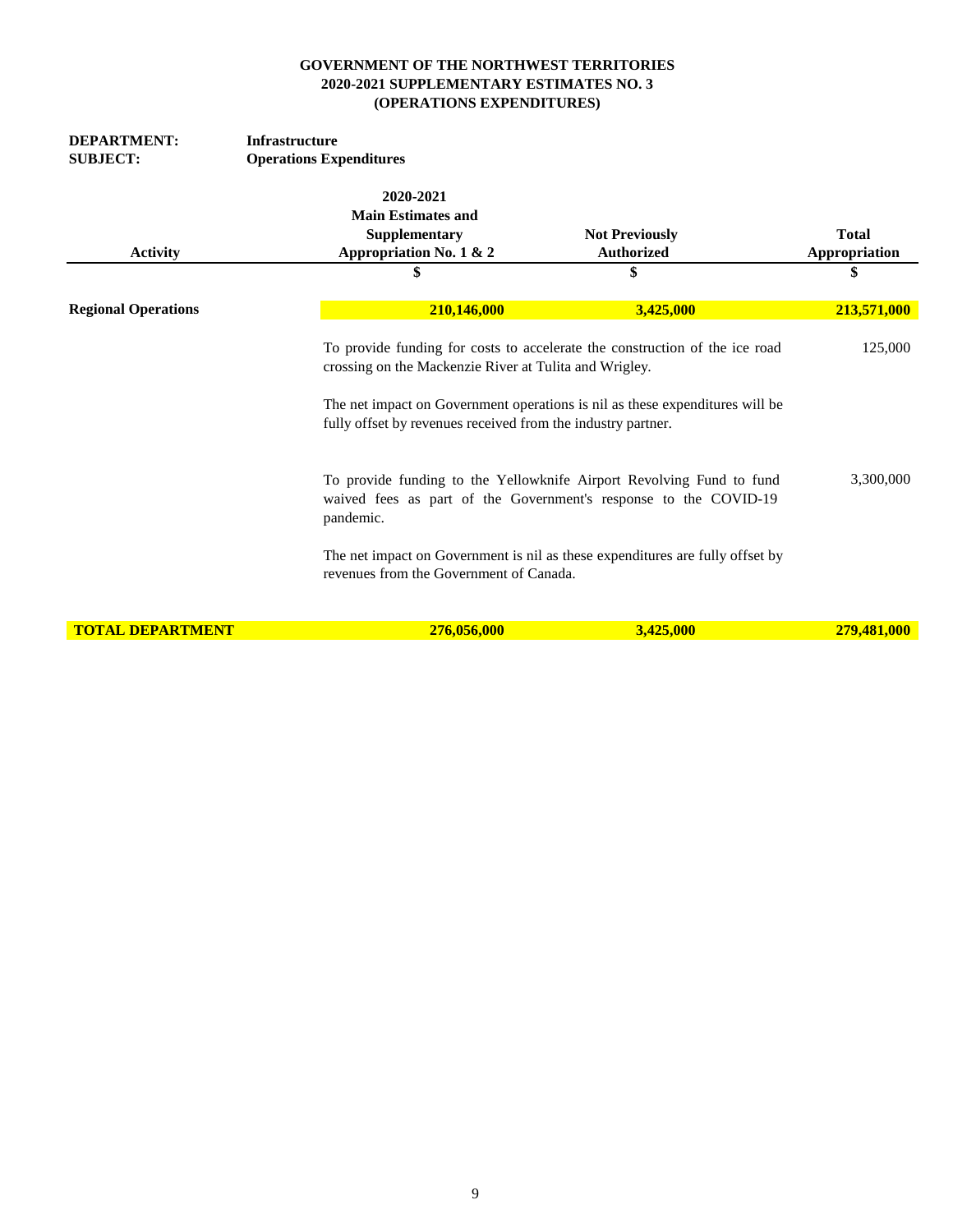| <b>DEPARTMENT:</b>         | <b>Infrastructure</b>                                                              |                                                                                                                        |                                                                                                                                                             |                               |  |  |
|----------------------------|------------------------------------------------------------------------------------|------------------------------------------------------------------------------------------------------------------------|-------------------------------------------------------------------------------------------------------------------------------------------------------------|-------------------------------|--|--|
| <b>SUBJECT:</b>            | <b>Operations Expenditures</b>                                                     |                                                                                                                        |                                                                                                                                                             |                               |  |  |
| <b>Activity</b>            | 2020-2021<br><b>Main Estimates and</b><br>Supplementary<br>Appropriation No. 1 & 2 |                                                                                                                        | <b>Not Previously</b><br><b>Authorized</b>                                                                                                                  | <b>Total</b><br>Appropriation |  |  |
|                            | \$                                                                                 |                                                                                                                        | \$                                                                                                                                                          | \$                            |  |  |
| <b>Regional Operations</b> |                                                                                    | 210,146,000                                                                                                            | 3,425,000                                                                                                                                                   | 213,571,000                   |  |  |
|                            |                                                                                    | crossing on the Mackenzie River at Tulita and Wrigley.<br>fully offset by revenues received from the industry partner. | To provide funding for costs to accelerate the construction of the ice road<br>The net impact on Government operations is nil as these expenditures will be | 125,000                       |  |  |
|                            | pandemic.                                                                          |                                                                                                                        | To provide funding to the Yellowknife Airport Revolving Fund to fund<br>waived fees as part of the Government's response to the COVID-19                    | 3,300,000                     |  |  |
|                            |                                                                                    | revenues from the Government of Canada.                                                                                | The net impact on Government is nil as these expenditures are fully offset by                                                                               |                               |  |  |
| <b>TOTAL DEPARTMENT</b>    |                                                                                    | 276,056,000                                                                                                            | 3,425,000                                                                                                                                                   | 279,481,000                   |  |  |